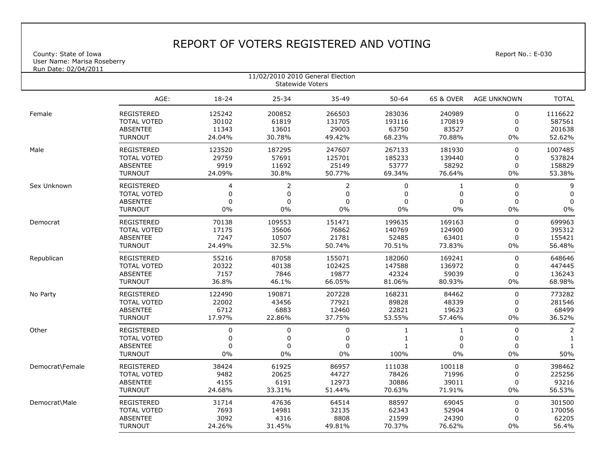## REPORT OF VOTERS REGISTERED AND VOTING

County: State of Iowa Report No.: E-030 User Name: Marisa Roseberry

| <u>Run Date: 02/04/2011</u><br>11/02/2010 2010 General Election<br>Statewide Voters |                    |                |                |                |           |              |                    |                |  |  |  |
|-------------------------------------------------------------------------------------|--------------------|----------------|----------------|----------------|-----------|--------------|--------------------|----------------|--|--|--|
|                                                                                     | AGE:               | $18 - 24$      | $25 - 34$      | 35-49          | $50 - 64$ | 65 & OVER    | <b>AGE UNKNOWN</b> | <b>TOTAL</b>   |  |  |  |
| Female                                                                              | <b>REGISTERED</b>  | 125242         | 200852         | 266503         | 283036    | 240989       | $\mathbf 0$        | 1116622        |  |  |  |
|                                                                                     | <b>TOTAL VOTED</b> | 30102          | 61819          | 131705         | 193116    | 170819       | $\mathbf 0$        | 587561         |  |  |  |
|                                                                                     | <b>ABSENTEE</b>    | 11343          | 13601          | 29003          | 63750     | 83527        | $\mathbf 0$        | 201638         |  |  |  |
|                                                                                     | <b>TURNOUT</b>     | 24.04%         | 30.78%         | 49.42%         | 68.23%    | 70.88%       | $0\%$              | 52.62%         |  |  |  |
| Male                                                                                | <b>REGISTERED</b>  | 123520         | 187295         | 247607         | 267133    | 181930       | $\pmb{0}$          | 1007485        |  |  |  |
|                                                                                     | <b>TOTAL VOTED</b> | 29759          | 57691          | 125701         | 185233    | 139440       | $\mathbf 0$        | 537824         |  |  |  |
|                                                                                     | <b>ABSENTEE</b>    | 9919           | 11692          | 25149          | 53777     | 58292        | $\mathbf 0$        | 158829         |  |  |  |
|                                                                                     | <b>TURNOUT</b>     | 24.09%         | 30.8%          | 50.77%         | 69.34%    | 76.64%       | $0\%$              | 53.38%         |  |  |  |
| Sex Unknown                                                                         | <b>REGISTERED</b>  | $\overline{4}$ | 2              | 2              | 0         | 1            | 0                  | 9              |  |  |  |
|                                                                                     | <b>TOTAL VOTED</b> | $\mathbf 0$    | 0              | 0              | $\Omega$  | 0            | 0                  | 0              |  |  |  |
|                                                                                     | <b>ABSENTEE</b>    | $\Omega$       | $\overline{0}$ | $\Omega$       | 0         | $\Omega$     | $\Omega$           | $\pmb{0}$      |  |  |  |
|                                                                                     | <b>TURNOUT</b>     | 0%             | 0%             | 0%             | 0%        | 0%           | $0\%$              | $0\%$          |  |  |  |
| Democrat                                                                            | REGISTERED         | 70138          | 109553         | 151471         | 199635    | 169163       | 0                  | 699963         |  |  |  |
|                                                                                     | <b>TOTAL VOTED</b> | 17175          | 35606          | 76862          | 140769    | 124900       | $\mathbf 0$        | 395312         |  |  |  |
|                                                                                     | <b>ABSENTEE</b>    | 7247           | 10507          | 21781          | 52485     | 63401        | $\mathbf 0$        | 155421         |  |  |  |
|                                                                                     | <b>TURNOUT</b>     | 24.49%         | 32.5%          | 50.74%         | 70.51%    | 73.83%       | $0\%$              | 56.48%         |  |  |  |
| Republican                                                                          | <b>REGISTERED</b>  | 55216          | 87058          | 155071         | 182060    | 169241       | $\pmb{0}$          | 648646         |  |  |  |
|                                                                                     | <b>TOTAL VOTED</b> | 20322          | 40138          | 102425         | 147588    | 136972       | $\mathbf 0$        | 447445         |  |  |  |
|                                                                                     | <b>ABSENTEE</b>    | 7157           | 7846           | 19877          | 42324     | 59039        | 0                  | 136243         |  |  |  |
|                                                                                     | <b>TURNOUT</b>     | 36.8%          | 46.1%          | 66.05%         | 81.06%    | 80.93%       | $0\%$              | 68.98%         |  |  |  |
| No Party                                                                            | <b>REGISTERED</b>  | 122490         | 190871         | 207228         | 168231    | 84462        | 0                  | 773282         |  |  |  |
|                                                                                     | <b>TOTAL VOTED</b> | 22002          | 43456          | 77921          | 89828     | 48339        | 0                  | 281546         |  |  |  |
|                                                                                     | <b>ABSENTEE</b>    | 6712           | 6883           | 12460          | 22821     | 19623        | 0                  | 68499          |  |  |  |
|                                                                                     | <b>TURNOUT</b>     | 17.97%         | 22.86%         | 37.75%         | 53.55%    | 57.46%       | $0\%$              | 36.52%         |  |  |  |
| Other                                                                               | REGISTERED         | $\pmb{0}$      | 0              | $\mathbf 0$    | 1         | $\mathbf{1}$ | $\pmb{0}$          | $\overline{2}$ |  |  |  |
|                                                                                     | <b>TOTAL VOTED</b> | $\mathbf 0$    | 0              | $\overline{0}$ | 1         | $\mathbf 0$  | $\mathbf 0$        | 1              |  |  |  |
|                                                                                     | <b>ABSENTEE</b>    | $\Omega$       | 0              | 0              | 1         | 0            | $\mathbf 0$        | $\mathbf{1}$   |  |  |  |
|                                                                                     | <b>TURNOUT</b>     | 0%             | 0%             | 0%             | 100%      | 0%           | 0%                 | 50%            |  |  |  |
| Democrat\Female                                                                     | <b>REGISTERED</b>  | 38424          | 61925          | 86957          | 111038    | 100118       | 0                  | 398462         |  |  |  |
|                                                                                     | <b>TOTAL VOTED</b> | 9482           | 20625          | 44727          | 78426     | 71996        | 0                  | 225256         |  |  |  |
|                                                                                     | <b>ABSENTEE</b>    | 4155           | 6191           | 12973          | 30886     | 39011        | 0                  | 93216          |  |  |  |
|                                                                                     | <b>TURNOUT</b>     | 24.68%         | 33.31%         | 51.44%         | 70.63%    | 71.91%       | 0%                 | 56.53%         |  |  |  |
| Democrat\Male                                                                       | <b>REGISTERED</b>  | 31714          | 47636          | 64514          | 88597     | 69045        | 0                  | 301500         |  |  |  |
|                                                                                     | <b>TOTAL VOTED</b> | 7693           | 14981          | 32135          | 62343     | 52904        | 0                  | 170056         |  |  |  |
|                                                                                     | <b>ABSENTEE</b>    | 3092           | 4316           | 8808           | 21599     | 24390        | 0                  | 62205          |  |  |  |
|                                                                                     | <b>TURNOUT</b>     | 24.26%         | 31.45%         | 49.81%         | 70.37%    | 76.62%       | $0\%$              | 56.4%          |  |  |  |